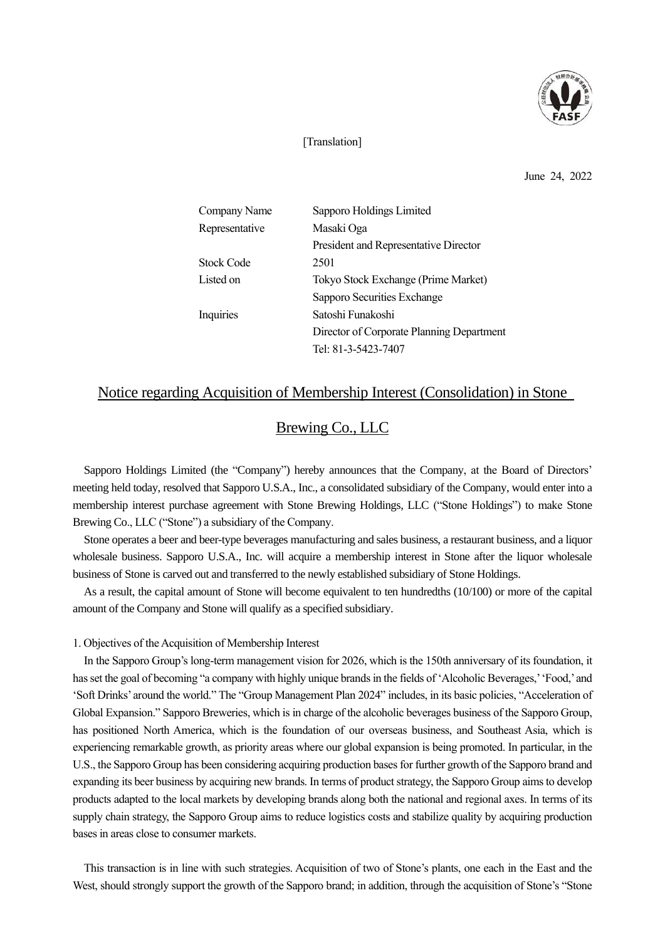

#### [Translation]

June 24, 2022

| Company Name   | Sapporo Holdings Limited                  |
|----------------|-------------------------------------------|
| Representative | Masaki Oga                                |
|                | President and Representative Director     |
| Stock Code     | 2501                                      |
| Listed on      | Tokyo Stock Exchange (Prime Market)       |
|                | Sapporo Securities Exchange               |
| Inquiries      | Satoshi Funakoshi                         |
|                | Director of Corporate Planning Department |
|                | Tel: 81-3-5423-7407                       |

## Notice regarding Acquisition of Membership Interest (Consolidation) in Stone

# Brewing Co., LLC

Sapporo Holdings Limited (the "Company") hereby announces that the Company, at the Board of Directors' meeting held today, resolved that Sapporo U.S.A., Inc., a consolidated subsidiary of the Company, would enter into a membership interest purchase agreement with Stone Brewing Holdings, LLC ("Stone Holdings") to make Stone Brewing Co., LLC ("Stone") a subsidiary of the Company.

Stone operates a beer and beer-type beverages manufacturing and sales business, a restaurant business, and a liquor wholesale business. Sapporo U.S.A., Inc. will acquire a membership interest in Stone after the liquor wholesale business of Stone is carved out and transferred to the newly established subsidiary of Stone Holdings.

As a result, the capital amount of Stone will become equivalent to ten hundredths (10/100) or more of the capital amount of the Company and Stone will qualify as a specified subsidiary.

#### 1. Objectives of the Acquisition of Membership Interest

In the Sapporo Group's long-term management vision for 2026, which is the 150th anniversary of its foundation, it has set the goal of becoming "a company with highly unique brands in the fields of 'Alcoholic Beverages,''Food,'and 'Soft Drinks' around the world." The "Group Management Plan 2024" includes, in its basic policies, "Acceleration of Global Expansion." Sapporo Breweries, which is in charge of the alcoholic beverages business of the Sapporo Group, has positioned North America, which is the foundation of our overseas business, and Southeast Asia, which is experiencing remarkable growth, as priority areas where our global expansion is being promoted. In particular, in the U.S., the Sapporo Group has been considering acquiring production bases for further growth of the Sapporo brand and expanding its beer business by acquiring new brands. In terms of product strategy, the Sapporo Group aimsto develop products adapted to the local markets by developing brands along both the national and regional axes. In terms of its supply chain strategy, the Sapporo Group aims to reduce logistics costs and stabilize quality by acquiring production bases in areas close to consumer markets.

This transaction is in line with such strategies. Acquisition of two of Stone's plants, one each in the East and the West, should strongly support the growth of the Sapporo brand; in addition, through the acquisition of Stone's "Stone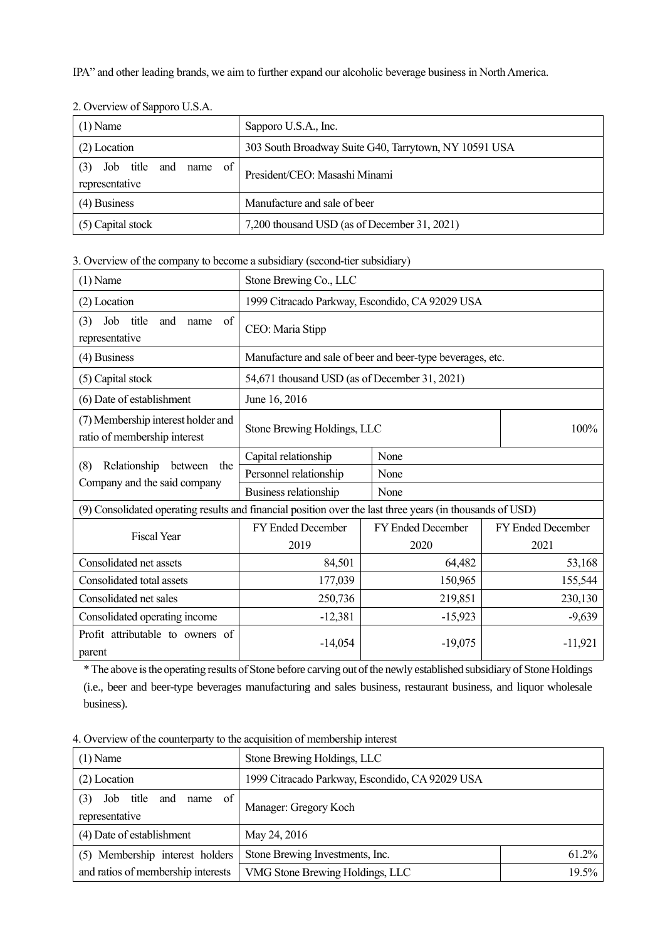IPA" and other leading brands, we aim to further expand our alcoholic beverage business in North America.

| $(1)$ Name                                 | Sapporo U.S.A., Inc.                                  |
|--------------------------------------------|-------------------------------------------------------|
| (2) Location                               | 303 South Broadway Suite G40, Tarrytown, NY 10591 USA |
| of<br>Job title and name<br>representative | President/CEO: Masashi Minami                         |
| $(4)$ Business                             | Manufacture and sale of beer                          |
| (5) Capital stock                          | 7,200 thousand USD (as of December 31, 2021)          |

2. Overview of Sapporo U.S.A.

3. Overview of the company to become a subsidiary (second-tier subsidiary)

| $(1)$ Name                                                                                                | Stone Brewing Co., LLC                                     |                          |                          |
|-----------------------------------------------------------------------------------------------------------|------------------------------------------------------------|--------------------------|--------------------------|
| (2) Location                                                                                              | 1999 Citracado Parkway, Escondido, CA 92029 USA            |                          |                          |
| of<br>Job<br>title<br>and<br>(3)<br>name<br>representative                                                | CEO: Maria Stipp                                           |                          |                          |
| (4) Business                                                                                              | Manufacture and sale of beer and beer-type beverages, etc. |                          |                          |
| (5) Capital stock                                                                                         | 54,671 thousand USD (as of December 31, 2021)              |                          |                          |
| (6) Date of establishment                                                                                 | June 16, 2016                                              |                          |                          |
| (7) Membership interest holder and<br>ratio of membership interest                                        | Stone Brewing Holdings, LLC                                |                          | 100%                     |
| Relationship<br>(8)<br>between<br>the<br>Company and the said company                                     | Capital relationship                                       | None                     |                          |
|                                                                                                           | Personnel relationship                                     | None                     |                          |
|                                                                                                           | Business relationship                                      | None                     |                          |
| (9) Consolidated operating results and financial position over the last three years (in thousands of USD) |                                                            |                          |                          |
| <b>Fiscal Year</b>                                                                                        | FY Ended December                                          | <b>FY Ended December</b> | <b>FY Ended December</b> |
|                                                                                                           | 2019                                                       | 2020                     | 2021                     |
| Consolidated net assets                                                                                   | 84,501                                                     | 64,482                   | 53,168                   |
| Consolidated total assets                                                                                 | 177,039                                                    | 150,965                  | 155,544                  |
| Consolidated net sales                                                                                    | 250,736                                                    | 219,851                  | 230,130                  |
| Consolidated operating income                                                                             | $-12,381$                                                  | $-15,923$                | $-9,639$                 |
| Profit attributable to owners of<br>parent                                                                | -14,054                                                    | $-19,075$                | $-11,921$                |

\* The above isthe operating results of Stone before carving out of the newly established subsidiary of Stone Holdings (i.e., beer and beer-type beverages manufacturing and sales business, restaurant business, and liquor wholesale business).

| $(1)$ Name                                                 | Stone Brewing Holdings, LLC                     |       |
|------------------------------------------------------------|-------------------------------------------------|-------|
| $(2)$ Location                                             | 1999 Citracado Parkway, Escondido, CA 92029 USA |       |
| of<br>Job<br>and<br>(3)<br>title<br>name<br>representative | Manager: Gregory Koch                           |       |
| (4) Date of establishment                                  | May 24, 2016                                    |       |
| (5) Membership interest holders                            | Stone Brewing Investments, Inc.                 | 61.2% |
| and ratios of membership interests                         | VMG Stone Brewing Holdings, LLC                 | 19.5% |

4. Overview of the counterparty to the acquisition of membership interest